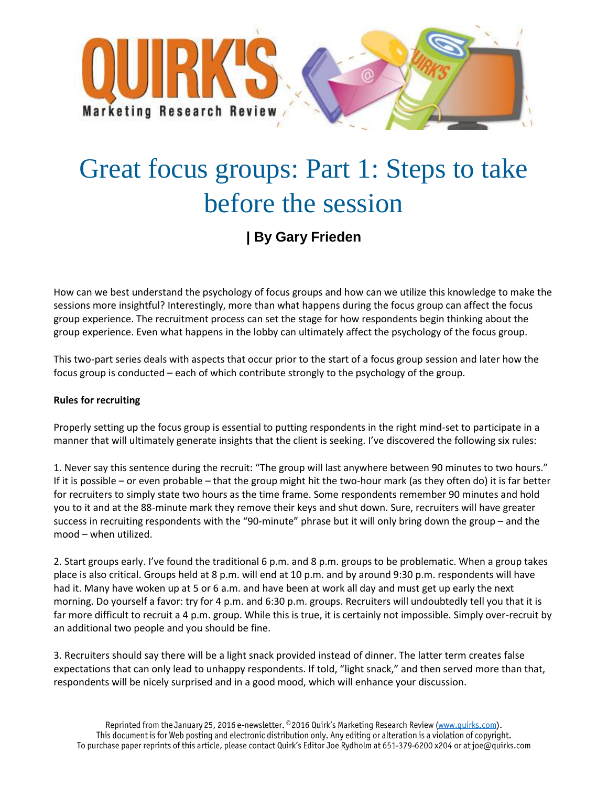

## Great focus groups: Part 1: Steps to take before the session

## **| By Gary Frieden**

How can we best understand the psychology of focus groups and how can we utilize this knowledge to make the sessions more insightful? Interestingly, more than what happens during the focus group can affect the focus group experience. The recruitment process can set the stage for how respondents begin thinking about the group experience. Even what happens in the lobby can ultimately affect the psychology of the focus group.

This two-part series deals with aspects that occur prior to the start of a focus group session and later how the focus group is conducted – each of which contribute strongly to the psychology of the group.

## **Rules for recruiting**

Properly setting up the focus group is essential to putting respondents in the right mind-set to participate in a manner that will ultimately generate insights that the client is seeking. I've discovered the following six rules:

1. Never say this sentence during the recruit: "The group will last anywhere between 90 minutes to two hours." If it is possible – or even probable – that the group might hit the two-hour mark (as they often do) it is far better for recruiters to simply state two hours as the time frame. Some respondents remember 90 minutes and hold you to it and at the 88-minute mark they remove their keys and shut down. Sure, recruiters will have greater success in recruiting respondents with the "90-minute" phrase but it will only bring down the group – and the mood – when utilized.

2. Start groups early. I've found the traditional 6 p.m. and 8 p.m. groups to be problematic. When a group takes place is also critical. Groups held at 8 p.m. will end at 10 p.m. and by around 9:30 p.m. respondents will have had it. Many have woken up at 5 or 6 a.m. and have been at work all day and must get up early the next morning. Do yourself a favor: try for 4 p.m. and 6:30 p.m. groups. Recruiters will undoubtedly tell you that it is far more difficult to recruit a 4 p.m. group. While this is true, it is certainly not impossible. Simply over-recruit by an additional two people and you should be fine.

3. Recruiters should say there will be a light snack provided instead of dinner. The latter term creates false expectations that can only lead to unhappy respondents. If told, "light snack," and then served more than that, respondents will be nicely surprised and in a good mood, which will enhance your discussion.